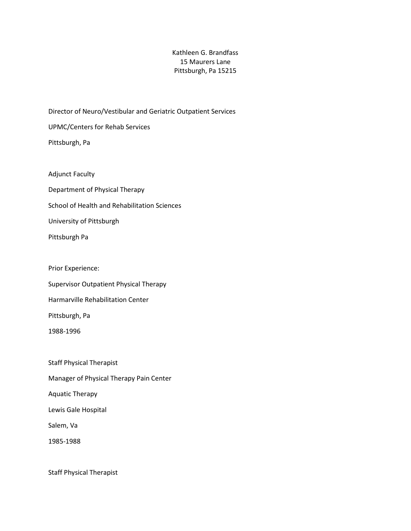## Kathleen G. Brandfass 15 Maurers Lane Pittsburgh, Pa 15215

Director of Neuro/Vestibular and Geriatric Outpatient Services UPMC/Centers for Rehab Services Pittsburgh, Pa

- Adjunct Faculty
- Department of Physical Therapy
- School of Health and Rehabilitation Sciences
- University of Pittsburgh
- Pittsburgh Pa
- Prior Experience:
- Supervisor Outpatient Physical Therapy
- Harmarville Rehabilitation Center
- Pittsburgh, Pa
- 1988-1996

Staff Physical Therapist Manager of Physical Therapy Pain Center Aquatic Therapy Lewis Gale Hospital Salem, Va 1985-1988

Staff Physical Therapist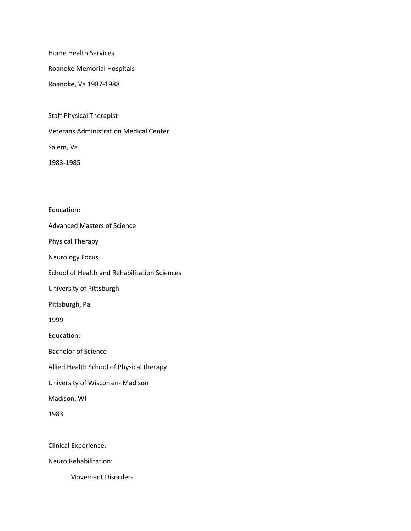Home Health Services

Roanoke Memorial Hospitals

Roanoke, Va 1987-1988

Staff Physical Therapist

Veterans Administration Medical Center

Salem, Va

1983-1985

Education: Advanced Masters of Science Physical Therapy Neurology Focus School of Health and Rehabilitation Sciences University of Pittsburgh Pittsburgh, Pa 1999 Education: Bachelor of Science Allied Health School of Physical therapy University of Wisconsin- Madison Madison, WI 1983 Clinical Experience: Neuro Rehabilitation:

Movement Disorders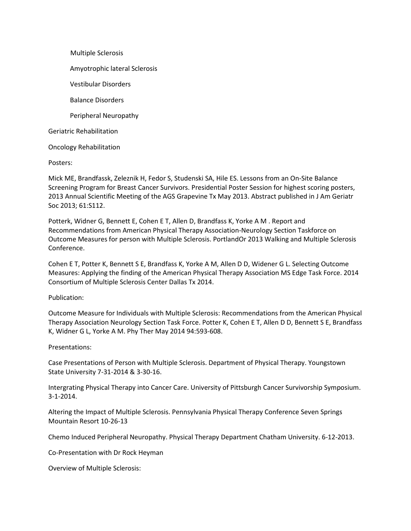Multiple Sclerosis Amyotrophic lateral Sclerosis Vestibular Disorders Balance Disorders Peripheral Neuropathy Geriatric Rehabilitation Oncology Rehabilitation

Posters:

Mick ME, Brandfassk, Zeleznik H, Fedor S, Studenski SA, Hile ES. Lessons from an On-Site Balance Screening Program for Breast Cancer Survivors. Presidential Poster Session for highest scoring posters, 2013 Annual Scientific Meeting of the AGS Grapevine Tx May 2013. Abstract published in J Am Geriatr Soc 2013; 61:S112.

Potterk, Widner G, Bennett E, Cohen E T, Allen D, Brandfass K, Yorke A M . Report and Recommendations from American Physical Therapy Association-Neurology Section Taskforce on Outcome Measures for person with Multiple Sclerosis. PortlandOr 2013 Walking and Multiple Sclerosis Conference.

Cohen E T, Potter K, Bennett S E, Brandfass K, Yorke A M, Allen D D, Widener G L. Selecting Outcome Measures: Applying the finding of the American Physical Therapy Association MS Edge Task Force. 2014 Consortium of Multiple Sclerosis Center Dallas Tx 2014.

Publication:

Outcome Measure for Individuals with Multiple Sclerosis: Recommendations from the American Physical Therapy Association Neurology Section Task Force. Potter K, Cohen E T, Allen D D, Bennett S E, Brandfass K, Widner G L, Yorke A M. Phy Ther May 2014 94:593-608.

Presentations:

Case Presentations of Person with Multiple Sclerosis. Department of Physical Therapy. Youngstown State University 7-31-2014 & 3-30-16.

Intergrating Physical Therapy into Cancer Care. University of Pittsburgh Cancer Survivorship Symposium. 3-1-2014.

Altering the Impact of Multiple Sclerosis. Pennsylvania Physical Therapy Conference Seven Springs Mountain Resort 10-26-13

Chemo Induced Peripheral Neuropathy. Physical Therapy Department Chatham University. 6-12-2013.

Co-Presentation with Dr Rock Heyman

Overview of Multiple Sclerosis: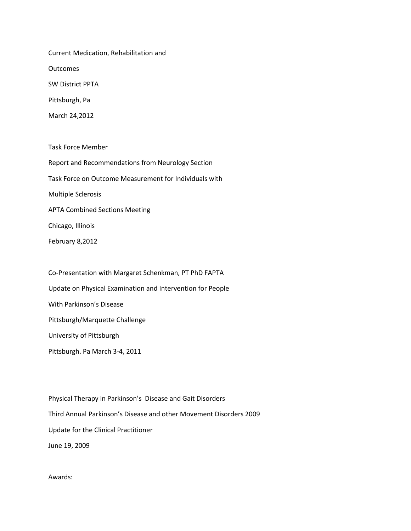Current Medication, Rehabilitation and **Outcomes** SW District PPTA Pittsburgh, Pa March 24,2012

Task Force Member Report and Recommendations from Neurology Section Task Force on Outcome Measurement for Individuals with Multiple Sclerosis APTA Combined Sections Meeting Chicago, Illinois February 8,2012

Co-Presentation with Margaret Schenkman, PT PhD FAPTA Update on Physical Examination and Intervention for People With Parkinson's Disease Pittsburgh/Marquette Challenge University of Pittsburgh Pittsburgh. Pa March 3-4, 2011

Physical Therapy in Parkinson's Disease and Gait Disorders Third Annual Parkinson's Disease and other Movement Disorders 2009 Update for the Clinical Practitioner June 19, 2009

Awards: